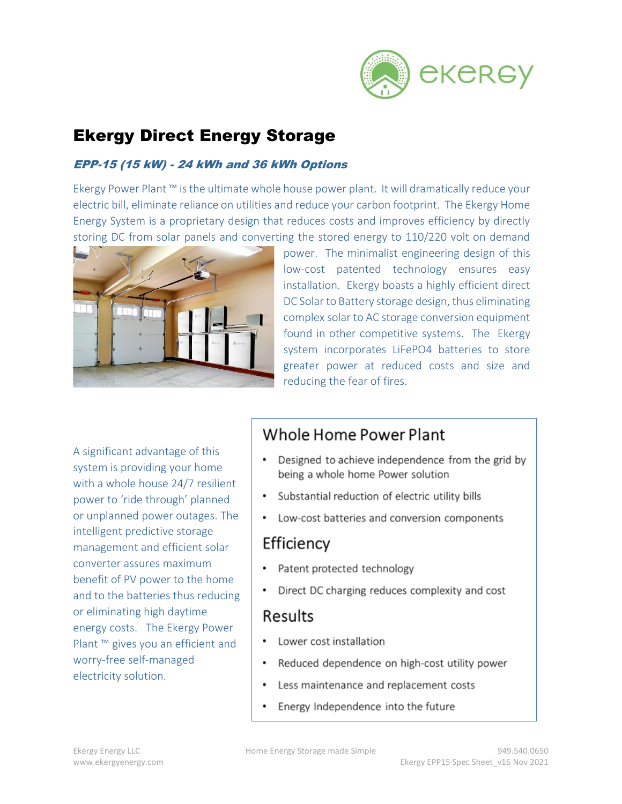

# Ekergy Direct Energy Storage

#### EPP-15 (15 kW) - 24 kWh and 36 kWh Options

Ekergy Power Plant ™ is the ultimate whole house power plant. It will dramatically reduce your electric bill, eliminate reliance on utilities and reduce your carbon footprint. The Ekergy Home Energy System is a proprietary design that reduces costs and improves efficiency by directly storing DC from solar panels and converting the stored energy to 110/220 volt on demand



power. The minimalist engineering design of this low-cost patented technology ensures easy installation. Ekergy boasts a highly efficient direct DC Solar to Battery storage design, thus eliminating complex solar to AC storage conversion equipment found in other competitive systems. The Ekergy system incorporates LiFePO4 batteries to store greater power at reduced costs and size and reducing the fear of fires.

A significant advantage of this system is providing your home with a whole house 24/7 resilient power to 'ride through' planned or unplanned power outages. The intelligent predictive storage management and efficient solar converter assures maximum benefit of PV power to the home and to the batteries thus reducing or eliminating high daytime energy costs. The Ekergy Power Plant ™ gives you an efficient and worry-free self-managed electricity solution.

## Whole Home Power Plant

- Designed to achieve independence from the grid by being a whole home Power solution
- Substantial reduction of electric utility bills
- Low-cost batteries and conversion components

## Efficiency

- Patent protected technology
- Direct DC charging reduces complexity and cost

## Results

- Lower cost installation
- Reduced dependence on high-cost utility power
- Less maintenance and replacement costs
- Energy Independence into the future